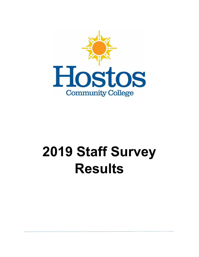

# **2019 Staff Survey Results**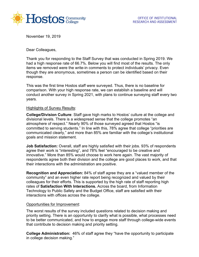

November 19, 2019

Dear Colleagues,

Thank you for responding to the Staff Survey that was conducted in Spring 2019. We had a high response rate of 66.7%. Below you will find most of the results. The only items we removed were the write-in comments to protect individuals' privacy. Even though they are anonymous, sometimes a person can be identified based on their response.

This was the first time Hostos staff were surveyed. Thus, there is no baseline for comparison. With your high response rate, we can establish a baseline and will conduct another survey in Spring 2021, with plans to continue surveying staff every two years.

#### Highlights of Survey Results:

**College/Division Culture**: Staff gave high marks to Hostos' culture at the college and divisional levels. There is a widespread sense that the college promotes "an atmosphere of respect." Nearly 90% of those surveyed agreed that Hostos "is committed to serving students." In line with this, 78% agree that college "priorities are communicated clearly," and more than 85% are familiar with the college's institutional goals and mission statement.

**Job Satisfaction:** Overall, staff are highly satisfied with their jobs. 93% of respondents agree their work is "interesting", and 78% feel "encouraged to be creative and innovative." More than 85% would choose to work here again. The vast majority of respondents agree both their division and the college are good places to work, and that their interactions with the administration are positive.

**Recognition and Appreciation:** 84% of staff agree they are a "valued member of the community" and an even higher rate report being recognized and valued by their colleagues for their efforts. This is supported by the high rate of staff reporting high rates of **Satisfaction With Interactions.** Across the board, from Information Technology to Public Safety and the Budget Office, staff are satisfied with their interactions with offices across the college.

#### Opportunities for Improvement:

The worst results of the survey included questions related to decision making and priority setting. There is an opportunity to clarify what is possible, what processes need to be better communicated, and how to engage more staff through college-wide events that contribute to decision making and priority setting.

**College Administration:** 46% of staff agree they "have the opportunity to participate in college decision making."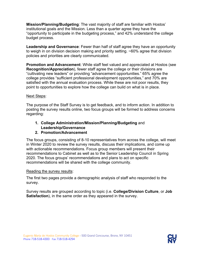**Mission/Planning/Budgeting**: The vast majority of staff are familiar with Hostos' institutional goals and the Mission. Less than a quarter agree they have the "opportunity to participate in the budgeting process," and 42% understand the college budget process.

**Leadership and Governance**: Fewer than half of staff agree they have an opportunity to weigh in on division decision making and priority setting. ~60% agree that division policies and priorities are clearly communicated.

**Promotion and Advancement**: While staff feel valued and appreciated at Hostos (see **Recognition/Appreciation**), fewer staff agree the college or their divisions are "cultivating new leaders" or providing "advancement opportunities." 65% agree the college provides "sufficient professional development opportunities," and 70% are satisfied with the annual evaluation process. While these are not poor results, they point to opportunities to explore how the college can build on what is in place.

#### Next Steps:

The purpose of the Staff Survey is to get feedback, and to inform action. In addition to posting the survey results online, two focus groups will be formed to address concerns regarding:

### **1. College Administration/Mission/Planning/Budgeting** and **Leadership/Governance**

#### **2. Promotion/Advancement**

The focus groups, consisting of 8-10 representatives from across the college, will meet in Winter 2020 to review the survey results, discuss their implications, and come up with actionable recommendations. Focus group members will present their recommendations to Cabinet as well as to the Senior Leadership Council in Spring 2020. The focus groups' recommendations and plans to act on specific recommendations will be shared with the college community.

#### Reading the survey results:

The first two pages provide a demographic analysis of staff who responded to the survey.

Survey results are grouped according to topic (i.e. **College/Division Culture**, or **Job Satisfaction**), in the same order as they appeared in the survey.

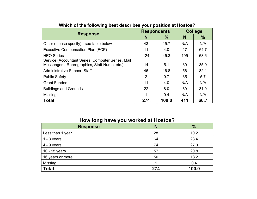| <b>Response</b>                                                                                    | <b>Respondents</b> |       | <b>College</b> |      |  |  |
|----------------------------------------------------------------------------------------------------|--------------------|-------|----------------|------|--|--|
|                                                                                                    | N                  | $\%$  | N              | $\%$ |  |  |
| Other (please specify) - see table below                                                           | 43                 | 15.7  | N/A            | N/A  |  |  |
| Executive Compensation Plan (ECP)                                                                  | 11                 | 4.0   | 17             | 64.7 |  |  |
| <b>HEO Series</b>                                                                                  | 124                | 45.3  | 195            | 63.6 |  |  |
| Service (Accountant Series, Computer Series, Mail<br>Messengers, Reprographics, Staff Nurse, etc.) | 14                 | 5.1   | 39             | 35.9 |  |  |
| <b>Administrative Support Staff</b>                                                                | 46                 | 16.8  | 56             | 82.1 |  |  |
| <b>Public Safety</b>                                                                               | 2                  | 0.7   | 35             | 5.7  |  |  |
| <b>Grant Funded</b>                                                                                | 11                 | 4.0   | N/A            | N/A  |  |  |
| <b>Buildings and Grounds</b>                                                                       | 22                 | 8.0   | 69             | 31.9 |  |  |
| <b>Missing</b>                                                                                     |                    | 0.4   | N/A            | N/A  |  |  |
| <b>Total</b>                                                                                       | 274                | 100.0 | 411            | 66.7 |  |  |

# **Which of the following best describes your position at Hostos?**

# **How long have you worked at Hostos?**

| <b>Response</b>  | N   | $\frac{9}{6}$ |
|------------------|-----|---------------|
| Less than 1 year | 28  | 10.2          |
| $1 - 3$ years    | 64  | 23.4          |
| $4 - 9$ years    | 74  | 27.0          |
| 10 - 15 years    | 57  | 20.8          |
| 16 years or more | 50  | 18.2          |
| Missing          |     | 0.4           |
| <b>Total</b>     | 274 | 100.0         |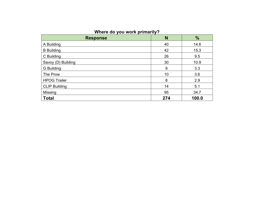# **Where do you work primarily?**

| <b>Response</b>      | N   | $\frac{9}{6}$ |
|----------------------|-----|---------------|
| A Building           | 40  | 14.6          |
| <b>B</b> Building    | 42  | 15.3          |
| C Building           | 26  | 9.5           |
| Savoy (D) Building   | 30  | 10.9          |
| G Building           | 9   | 3.3           |
| The Prow             | 10  | 3.6           |
| <b>HPOG Trailer</b>  | 8   | 2.9           |
| <b>CLIP Building</b> | 14  | 5.1           |
| <b>Missing</b>       | 95  | 34.7          |
| <b>Total</b>         | 274 | 100.0         |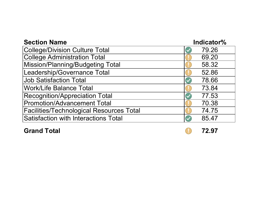| <b>Section Name</b>                             | Indicator% |  |  |  |  |
|-------------------------------------------------|------------|--|--|--|--|
| College/Division Culture Total                  | 79.26      |  |  |  |  |
| <b>College Administration Total</b>             | 69.20      |  |  |  |  |
| Mission/Planning/Budgeting Total                | 58.32      |  |  |  |  |
| Leadership/Governance Total                     | 52.86      |  |  |  |  |
| <b>Job Satisfaction Total</b>                   | 78.66      |  |  |  |  |
| <b>Work/Life Balance Total</b>                  | 73.84      |  |  |  |  |
| <b>Recognition/Appreciation Total</b>           | 77.53      |  |  |  |  |
| <b>Promotion/Advancement Total</b>              | 70.38      |  |  |  |  |
| <b>Facilities/Technological Resources Total</b> | 74.75      |  |  |  |  |
| <b>Satisfaction with Interactions Total</b>     | 85.47      |  |  |  |  |

**Grand Total 72.97**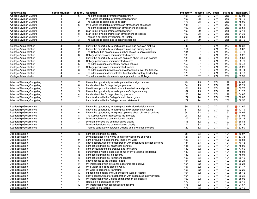| <b>SectionName</b>              | <b>SectionNumber</b> |                | <b>SectionQ Question</b>                                                                                                           | IndicatorN Missing |    | N/A      | Total      |     | TotalValid Indicator%                |
|---------------------------------|----------------------|----------------|------------------------------------------------------------------------------------------------------------------------------------|--------------------|----|----------|------------|-----|--------------------------------------|
| <b>College/Division Culture</b> | 3                    | 5              | The administration promotes transparency                                                                                           | 151                | 38 | 0        | 274        | 236 | $\bigcirc$ 63.98                     |
| <b>College/Division Culture</b> | 3                    | $\overline{7}$ | My division leadership promotes transparency                                                                                       | 167                | 38 | 0        | 274        | 236 | $\bigcirc$ 70.76                     |
| <b>College/Division Culture</b> | 3                    | $\overline{2}$ | The College is committed to its staff                                                                                              | 177                | 38 | 0        | 274        | 236 | $\bigcirc$ 75.00                     |
| <b>College/Division Culture</b> | 3                    | 6              | My division leadership promotes an atmosphere of respect                                                                           | 186                | 37 | 0        | 274        | 237 | $\bigcirc$ 78.48                     |
| <b>College/Division Culture</b> | 3                    | $\overline{4}$ | The administration promotes an atmosphere of respect                                                                               | 190                | 38 | 0        | 274        | 236 | 80.51<br>$\bigcirc$                  |
| <b>College/Division Culture</b> | 3                    | 9              | Staff in my division promote transparency                                                                                          | 193                | 39 | 0        | 274        | 235 | 82.13<br>$\bigcirc$                  |
| <b>College/Division Culture</b> | 3                    | 8              | Staff in my division promote an atmosphere of respect                                                                              | 199                | 38 | 0        | 274        | 236 | 84.32<br>$\bigcirc$                  |
| <b>College/Division Culture</b> | 3                    | $\overline{1}$ |                                                                                                                                    | 208                | 39 | 0        | 274        | 235 | 88.51                                |
|                                 | 3                    | 3              | There is a collegial environment at Hostos                                                                                         |                    |    |          |            |     | $\bigcirc$                           |
| <b>College/Division Culture</b> |                      |                | The College is committed to serving students                                                                                       | 211                | 39 | 0        | 274        | 235 | 89.79                                |
|                                 | 4                    |                |                                                                                                                                    |                    |    |          |            |     |                                      |
| <b>College Administration</b>   |                      | 9              | I have the opportunity to participate in college decision making                                                                   | 96                 | 67 | 0        | 274<br>274 | 207 | $\bigcirc$ 46.38                     |
| <b>College Administration</b>   |                      | 11             | I have the opportunity to participate in college priority setting<br>The College has an adequate number of staff to serve students | 114                | 67 | 0<br>0   |            | 207 | $\bigcirc$<br>55.07                  |
| <b>College Administration</b>   |                      | $\overline{2}$ |                                                                                                                                    | 134                | 67 |          | 274        | 207 | $\bigcirc$ 64.73                     |
| <b>College Administration</b>   |                      | 8              | College decisions are communicated clearly                                                                                         | 135                | 67 | 0        | 274        | 207 | $\bigcirc$<br>65.22                  |
| <b>College Administration</b>   |                      | $\overline{7}$ | I have the opportunity to express opinions about College policies                                                                  | 135                | 68 | 0        | 274        | 206 | $\circ$ 65.53                        |
| <b>College Administration</b>   |                      | 6              | College policies are communicated clearly                                                                                          | 136                | 67 | 0        | 274        | 207 | 65.70<br>$\bigcirc$                  |
| <b>College Administration</b>   |                      | $\sqrt{5}$     | The administration consistently applies policies                                                                                   | 152                | 67 | 0        | 274        | 207 | 73.43<br>$\bigcirc$                  |
| <b>College Administration</b>   |                      | 10             | College priorities are communicated clearly                                                                                        | 162                | 67 | 0        | 274        | 207 | 78.26<br>$\bigcirc$                  |
| <b>College Administration</b>   |                      | 3              | The administration provides effective leadership over the College                                                                  | 163                | 67 | 0        | 274        | 207 | 78.74<br>$\bigcirc$                  |
| <b>College Administration</b>   |                      | $\overline{4}$ | The administration demonstrates fiscal and budgetary leadership                                                                    | 170                | 67 | 0        | 274        | 207 | 82.13<br>$\bigcirc$                  |
| <b>College Administration</b>   |                      |                | The administrative structure is appropriate for the College                                                                        | 178                | 67 | 0        | 274        | 207 | 85.99                                |
|                                 |                      |                |                                                                                                                                    |                    |    |          |            |     |                                      |
| Mission/Planning/Budgeting      | 5                    | 7              | I have the opportunity to participate in the budget process                                                                        | 49                 | 75 | 0        | 274        | 199 | 24.62                                |
| Mission/Planning/Budgeting      | 5                    | 6              | I understand the College budget process                                                                                            | 84                 | 75 | 0        | 274        | 199 | $\bullet$ 42.21                      |
| Mission/Planning/Budgeting      | 5                    | 3              | I had the opportunity to help shape the mission and goals                                                                          | 101                | 75 | 0        | 274        | 199 | 50.75<br>$\bigcirc$                  |
| Mission/Planning/Budgeting      | 5                    | 5              | I have the opportunity to participate in College planning                                                                          | 102                | 75 | 0        | 274        | 199 | 51.26<br>$\bigcirc$                  |
| Mission/Planning/Budgeting      | 5                    | $\overline{4}$ | I understand the College planning process                                                                                          | 128                | 76 | 0        | 274        | 198 | 64.65<br>$\bigcirc$                  |
| Mission/Planning/Budgeting      | 5                    | $\overline{2}$ | I am familiar with the College's institutional goals                                                                               | 172                | 74 | 0        | 274        | 200 | 86.00<br>$\bigcirc$                  |
| Mission/Planning/Budgeting      | 5                    | 1              | I am familiar with the College mission statement                                                                                   | 177                | 74 | 0        | 274        | 200 | 88.50                                |
|                                 |                      |                |                                                                                                                                    |                    |    |          |            |     |                                      |
| Leadership/Governance           | 6                    | 2              | I have the opportunity to participate in division decision making                                                                  | 80                 | 82 | 0        | 274        | 192 | ● 41.67                              |
| Leadership/Governance           | 6                    | $\overline{4}$ | I have the opportunity to participate in division priority setting                                                                 | 81                 | 82 | 0        | 274        | 192 | • 42.19                              |
| Leadership/Governance           | 6                    | 6              | I have the opportunity to express opinions about divisional policies                                                               | 94                 | 82 | 0        | 274        | 192 | ● 48.96                              |
| Leadership/Governance           | 6                    | 8              | The College Council represents my interests                                                                                        | 98                 | 82 | 0        | 274        | 192 | 51.04<br>$\bigcirc$                  |
| Leadership/Governance           | 6                    | 5              | Division policies are communicated clearly                                                                                         | 112                | 82 | 0        | 274        | 192 | 58.33<br>$\bigcirc$                  |
| Leadership/Governance           | 6                    | 3              | Division priorities are communicated clearly                                                                                       | 113                | 82 | 0        | 274        | 192 | 58.85<br>$\bigcirc$                  |
| Leadership/Governance           | 6                    | $\overline{1}$ | Division decisions are communicated clearly                                                                                        | 114                | 82 | 0        | 274        | 192 | 59.38<br>$\bigcirc$                  |
| Leadership/Governance           | 6                    | $\overline{7}$ | There is consistency between College and divisional priorities                                                                     | 120                | 82 | 0        | 274        | 192 | 62.50                                |
|                                 |                      |                |                                                                                                                                    |                    |    |          |            |     |                                      |
| <b>Job Satisfaction</b>         | 7                    | 16             | I am satisfied with my salary                                                                                                      | 88                 | 83 | 0        | 274        | 191 | $\bigcirc$ 46.07                     |
| Job Satisfaction                | 7                    | $\overline{7}$ | Divisional leadership works to make my job more enjoyable                                                                          | 121                | 83 | 0        | 274        | 191 | 63.35<br>$\bigcirc$                  |
| Job Satisfaction                |                      | 9              | I am involved in decisions that impact my work                                                                                     | 127                | 84 | 0        | 274        | 190 | $\bigcirc$ 66.84                     |
| <b>Job Satisfaction</b>         |                      | 14             | I have opportunities for collaboration with colleagues in other divisions                                                          | 134                | 83 | 0        | 274        | 191 | $\bigcirc$<br>70.16                  |
| <b>Job Satisfaction</b>         |                      | 17             | I am satisfied with my healthcare benefits                                                                                         | 145                | 83 | 0        | 274        | 191 | 75.92<br>$\bigcirc$                  |
| Job Satisfaction                |                      | $\,$ 5 $\,$    | I am encouraged to be creative and innovative                                                                                      | 149                | 82 | 0        | 274        | 192 | 77.60<br>$\hspace{0.1cm}\rightarrow$ |
| Job Satisfaction                |                      | 8              | I understand what is expected of me by my divisional leadership                                                                    | 149                | 83 | 0        | 274        | 191 | 78.01<br>O                           |
| <b>Job Satisfaction</b>         | $\overline{7}$       | 15             | I am satisfied with my job security                                                                                                | 149                | 83 | $\Omega$ | 274        | 191 | 78.01                                |
| Job Satisfaction                | $\overline{7}$       | 18             | I am satisfied with my retirement benefits                                                                                         | 153                | 83 | 0        | 274        | 191 | 80.10<br>$\bigcirc$                  |
| Job Satisfaction                | 7                    | 6              | I have access to the training I need                                                                                               | 154                | 82 | 0        | 274        | 192 | 80.21<br>$\bigcirc$                  |
| Job Satisfaction                | 7                    | 11             | My interactions with divisional leadership are positive                                                                            | 154                | 82 | 0        | 274        | 192 | 80.21<br>$\bigcirc$                  |
| Job Satisfaction                | 7                    | 2              | My division is a good place to work                                                                                                | 157                | 82 | 0        | 274        | 192 | $\bigcirc$ 81.77                     |
| <b>Job Satisfaction</b>         | 7                    | 3              | My work is personally rewarding                                                                                                    | 158                | 82 | 0        | 274        | 192 | $\bigcirc$<br>82.29                  |
| Job Satisfaction                |                      | 19             | If I could do it again, I would choose to work at Hostos                                                                           | 164                | 82 | 0        | 274        | 192 | $\circ$ 85.42                        |
| Job Satisfaction                | 7                    | 13             | I have opportunities for collaboration with colleagues in my division                                                              | 164                | 84 | 0        | 274        | 190 | ◯ 86.32                              |
|                                 | 7                    |                |                                                                                                                                    |                    |    |          |            |     |                                      |
| Job Satisfaction                | $\overline{7}$       | 10             | My interactions with College administration are positive                                                                           | 169                | 82 | 0        | 274        | 192 | $\circ$ 88.02                        |
| <b>Job Satisfaction</b>         |                      | -1             | Hostos is a good place to work                                                                                                     | 172                | 81 | 0        | 274        | 193 | 89.12<br>$\bigcirc$                  |
| Job Satisfaction                | $\overline{7}$       | 12             | My interactions with colleagues are positive                                                                                       | 176                | 82 | 0        | 274        | 192 | 91.67<br>$\bigcirc$                  |
| Job Satisfaction                | $\overline{7}$       | 4              | My work is interesting                                                                                                             | 178                | 83 | 0        | 274        | 191 | 93.19                                |
|                                 |                      |                |                                                                                                                                    |                    |    |          |            |     |                                      |